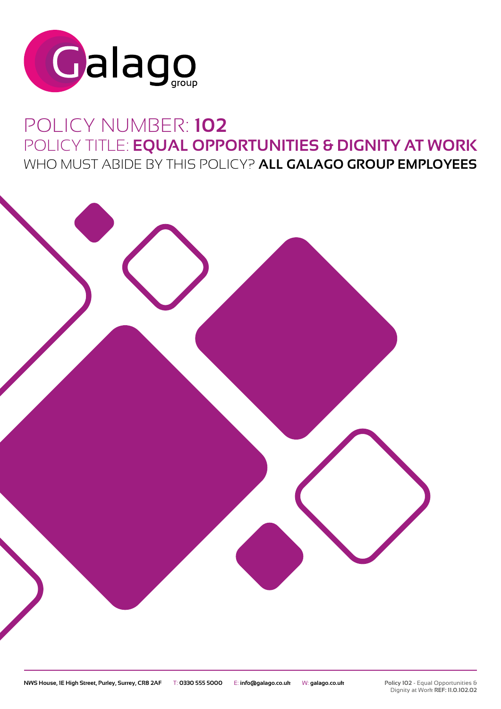

# POLICY NUMBER: **102** POLICY TITLE: **EQUAL OPPORTUNITIES & DIGNITY AT WORK** WHO MUST ABIDE BY THIS POLICY? **ALL GALAGO GROUP EMPLOYEES**

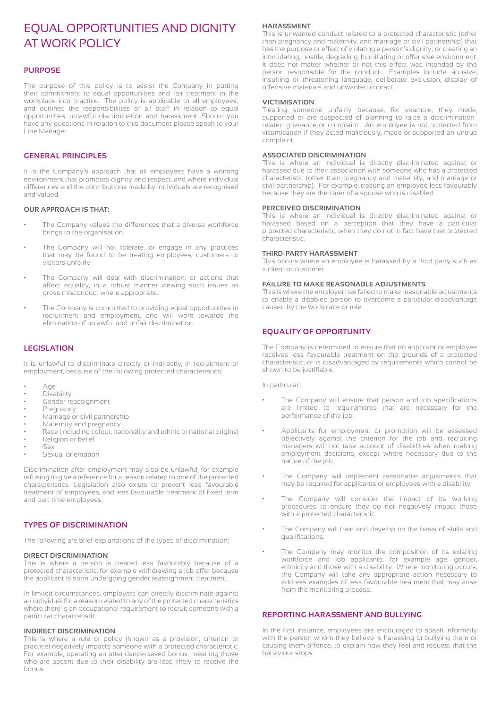# EQUAL OPPORTUNITIES AND DIGNITY AT WORK POLICY

# **PURPOSE**

The purpose of this policy is to assist the Company in putting their commitment to equal opportunities and fair treatment in the workplace into practice. The policy is applicable to all employees; and outlines the responsibilities of all staff in relation to equal opportunities, unlawful discrimination and harassment. Should you have any questions in relation to this document please speak to your Line Manager.

# **GENERAL PRINCIPLES**

It is the Company's approach that all employees have a working environment that promotes dignity and respect, and where individual differences and the contributions made by individuals are recognised and valued.

#### **OUR APPROACH IS THAT:**

- The Company values the differences that a diverse workforce brings to the organisation.
- The Company will not tolerate, or engage in any practices that may be found to be treating employees, customers or visitors unfairly.
- The Company will deal with discrimination, or actions that affect equality, in a robust manner viewing such issues as gross misconduct where appropriate.
- The Company is committed to providing equal opportunities in recruitment and employment, and will work towards the elimination of unlawful and unfair discrimination.

# **LEGISLATION**

It is unlawful to discriminate directly or indirectly, in recruitment or employment, because of the following protected characteristics:

- Age
- Disability
- Gender reassignment
- Pregnancy
- Marriage or civil partnership
- Maternity and pregnancy
- Race (including colour, nationality and ethnic or national origins)
- Religion or belief
- Sex
- Sexual orientation

Discrimination after employment may also be unlawful, for example refusing to give a reference for a reason related to one of the protected characteristics. Legislation also exists to prevent less favourable treatment of employees, and less favourable treatment of fixed term and part time employees.

# **TYPES OF DISCRIMINATION**

The following are brief explanations of the types of discrimination:

#### **DIRECT DISCRIMINATION**

This is where a person is treated less favourably because of a protected characteristic, for example withdrawing a job offer because the applicant is soon undergoing gender reassignment treatment.

In limited circumstances, employers can directly discriminate against an individual for a reason related to any of the protected characteristics where there is an occupational requirement to recruit someone with a particular characteristic.

#### **INDIRECT DISCRIMINATION**

This is where a rule or policy (known as a provision, criterion or practice) negatively impacts someone with a protected characteristic. For example, operating an attendance-based bonus, meaning those who are absent due to their disability are less likely to receive the bonus.

#### **HARASSMENT**

This is unwanted conduct related to a protected characteristic (other than pregnancy and maternity, and marriage or civil partnership) that has the purpose or effect of violating a person's dignity; or creating an intimidating, hostile, degrading, humiliating or offensive environment. It does not matter whether or not this effect was intended by the person responsible for the conduct. Examples include: abusive, insulting or threatening language, deliberate exclusion, display of offensive materials and unwanted contact.

#### **VICTIMISATION**

Treating someone unfairly because, for example, they made, supported or are suspected of planning to raise a discriminationrelated grievance or complaint. An employee is not protected from victimisation if they acted maliciously, made or supported an untrue complaint.

#### **ASSOCIATED DISCRIMINATION**

This is where an individual is directly discriminated against or harassed due to their association with someone who has a protected characteristic (other than pregnancy and maternity, and marriage or civil partnership). For example, treating an employee less favourably because they are the carer of a spouse who is disabled.

#### **PERCEIVED DISCRIMINATION**

This is where an individual is directly discriminated against or harassed based on a perception that they have a particular protected characteristic, when they do not in fact have that protected characteristic.

#### **THIRD-PARTY HARASSMENT**

This occurs where an employee is harassed by a third party such as a client or customer.

#### **FAILURE TO MAKE REASONABLE ADJUSTMENTS**

This is where the employer has failed to make reasonable adjustments to enable a disabled person to overcome a particular disadvantage caused by the workplace or role.

# **EQUALITY OF OPPORTUNITY**

The Company is determined to ensure that no applicant or employee receives less favourable treatment on the grounds of a protected characteristic, or is disadvantaged by requirements which cannot be shown to be justifiable.

In particular:

- The Company will ensure that person and job specifications are limited to requirements that are necessary for the performance of the job.
- Applicants for employment or promotion will be assessed objectively against the criterion for the job and, recruiting managers will not take account of disabilities when making employment decisions, except where necessary due to the nature of the job.
- The Company will implement reasonable adjustments that may be required for applicants or employees with a disability.
- The Company will consider the impact of its working procedures to ensure they do not negatively impact those with a protected characteristic.
- The Company will train and develop on the basis of skills and qualifications.
- The Company may monitor the composition of its existing workforce and job applicants, for example age, gender, ethnicity and those with a disability. Where monitoring occurs, the Company will take any appropriate action necessary to address examples of less favourable treatment that may arise from the monitoring process.

# **REPORTING HARASSMENT AND BULLYING**

In the first instance, employees are encouraged to speak informally with the person whom they believe is harassing or bullying them or causing them offence, to explain how they feel and request that the behaviour stops.